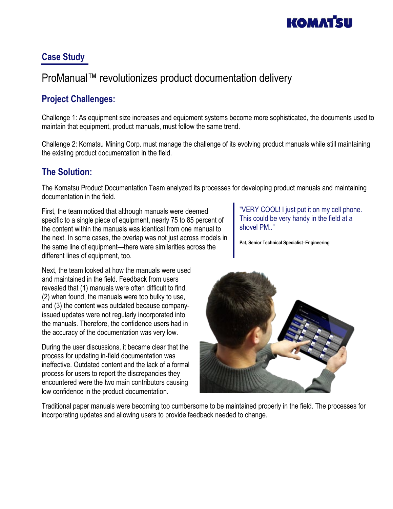

#### **Case Study**

# ProManual™ revolutionizes product documentation delivery

## **Project Challenges:**

Challenge 1: As equipment size increases and equipment systems become more sophisticated, the documents used to maintain that equipment, product manuals, must follow the same trend.

Challenge 2: Komatsu Mining Corp. must manage the challenge of its evolving product manuals while still maintaining the existing product documentation in the field.

### **The Solution:**

The Komatsu Product Documentation Team analyzed its processes for developing product manuals and maintaining documentation in the field.

First, the team noticed that although manuals were deemed specific to a single piece of equipment, nearly 75 to 85 percent of the content within the manuals was identical from one manual to the next. In some cases, the overlap was not just across models in the same line of equipment—there were similarities across the different lines of equipment, too.

Next, the team looked at how the manuals were used and maintained in the field. Feedback from users revealed that (1) manuals were often difficult to find, (2) when found, the manuals were too bulky to use, and (3) the content was outdated because companyissued updates were not regularly incorporated into the manuals. Therefore, the confidence users had in the accuracy of the documentation was very low.

During the user discussions, it became clear that the process for updating in-field documentation was ineffective. Outdated content and the lack of a formal process for users to report the discrepancies they encountered were the two main contributors causing low confidence in the product documentation.

"VERY COOL! I just put it on my cell phone. This could be very handy in the field at a shovel PM.."

**Pat, Senior Technical Specialist–Engineering**



Traditional paper manuals were becoming too cumbersome to be maintained properly in the field. The processes for incorporating updates and allowing users to provide feedback needed to change.